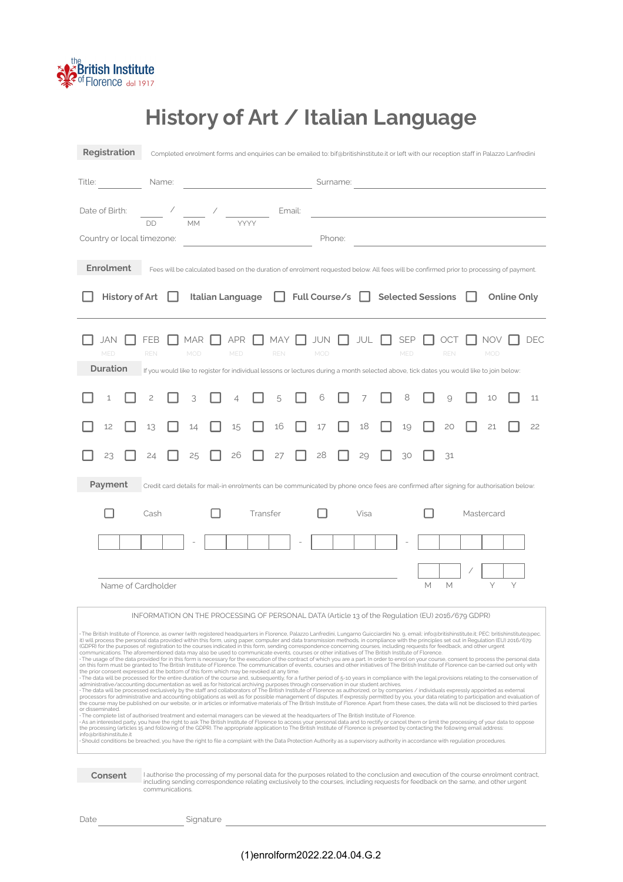

# **History of Art / Italian Language**

| Registration                                                                                                                                                                                                                                                                                                                                                                                                                                                                                                                                                                                                                                                                                                                                                                                                                                                                                                                                                                                                                                                                                                                                                                                                                                                                                                                                                                                                                                                                                                                                                                                                                                                                                                                                                                                                                                                                                                                                                                                                                                                                                                                                                                                                                                                                                                                                                                                                                                                                                                                                                                                                                                                                                                                                                                                                                                                                                                                                     |                               |  |                   | Completed enrolment forms and enquiries can be emailed to: bif@britishinstitute.it or left with our reception staff in Palazzo Lanfredini |                                                                                                                                                        |  |                   |          |                    |        |                   |  |      |                   |                   |   |                   |                    |                                                                                                                                                                                                                                      |   |     |
|--------------------------------------------------------------------------------------------------------------------------------------------------------------------------------------------------------------------------------------------------------------------------------------------------------------------------------------------------------------------------------------------------------------------------------------------------------------------------------------------------------------------------------------------------------------------------------------------------------------------------------------------------------------------------------------------------------------------------------------------------------------------------------------------------------------------------------------------------------------------------------------------------------------------------------------------------------------------------------------------------------------------------------------------------------------------------------------------------------------------------------------------------------------------------------------------------------------------------------------------------------------------------------------------------------------------------------------------------------------------------------------------------------------------------------------------------------------------------------------------------------------------------------------------------------------------------------------------------------------------------------------------------------------------------------------------------------------------------------------------------------------------------------------------------------------------------------------------------------------------------------------------------------------------------------------------------------------------------------------------------------------------------------------------------------------------------------------------------------------------------------------------------------------------------------------------------------------------------------------------------------------------------------------------------------------------------------------------------------------------------------------------------------------------------------------------------------------------------------------------------------------------------------------------------------------------------------------------------------------------------------------------------------------------------------------------------------------------------------------------------------------------------------------------------------------------------------------------------------------------------------------------------------------------------------------------------|-------------------------------|--|-------------------|-------------------------------------------------------------------------------------------------------------------------------------------|--------------------------------------------------------------------------------------------------------------------------------------------------------|--|-------------------|----------|--------------------|--------|-------------------|--|------|-------------------|-------------------|---|-------------------|--------------------|--------------------------------------------------------------------------------------------------------------------------------------------------------------------------------------------------------------------------------------|---|-----|
| Title:                                                                                                                                                                                                                                                                                                                                                                                                                                                                                                                                                                                                                                                                                                                                                                                                                                                                                                                                                                                                                                                                                                                                                                                                                                                                                                                                                                                                                                                                                                                                                                                                                                                                                                                                                                                                                                                                                                                                                                                                                                                                                                                                                                                                                                                                                                                                                                                                                                                                                                                                                                                                                                                                                                                                                                                                                                                                                                                                           |                               |  | Name:             |                                                                                                                                           |                                                                                                                                                        |  |                   |          |                    |        |                   |  |      |                   |                   |   |                   |                    |                                                                                                                                                                                                                                      |   |     |
| Date of Birth:                                                                                                                                                                                                                                                                                                                                                                                                                                                                                                                                                                                                                                                                                                                                                                                                                                                                                                                                                                                                                                                                                                                                                                                                                                                                                                                                                                                                                                                                                                                                                                                                                                                                                                                                                                                                                                                                                                                                                                                                                                                                                                                                                                                                                                                                                                                                                                                                                                                                                                                                                                                                                                                                                                                                                                                                                                                                                                                                   |                               |  |                   |                                                                                                                                           | $\frac{\alpha}{\alpha}$ , $\frac{\alpha}{\alpha}$ , $\frac{\alpha}{\alpha}$ , $\frac{\alpha}{\alpha}$                                                  |  |                   |          |                    | Email: |                   |  |      |                   |                   |   |                   |                    | <u>and the state of the state of the state of the state of the state of the state of the state of the state of the state of the state of the state of the state of the state of the state of the state of the state of the state</u> |   |     |
| Country or local timezone:                                                                                                                                                                                                                                                                                                                                                                                                                                                                                                                                                                                                                                                                                                                                                                                                                                                                                                                                                                                                                                                                                                                                                                                                                                                                                                                                                                                                                                                                                                                                                                                                                                                                                                                                                                                                                                                                                                                                                                                                                                                                                                                                                                                                                                                                                                                                                                                                                                                                                                                                                                                                                                                                                                                                                                                                                                                                                                                       |                               |  |                   |                                                                                                                                           |                                                                                                                                                        |  |                   |          |                    |        | Phone:            |  |      |                   |                   |   |                   |                    |                                                                                                                                                                                                                                      |   |     |
| <b>Enrolment</b>                                                                                                                                                                                                                                                                                                                                                                                                                                                                                                                                                                                                                                                                                                                                                                                                                                                                                                                                                                                                                                                                                                                                                                                                                                                                                                                                                                                                                                                                                                                                                                                                                                                                                                                                                                                                                                                                                                                                                                                                                                                                                                                                                                                                                                                                                                                                                                                                                                                                                                                                                                                                                                                                                                                                                                                                                                                                                                                                 |                               |  |                   |                                                                                                                                           | Fees will be calculated based on the duration of enrolment requested below. All fees will be confirmed prior to processing of payment.                 |  |                   |          |                    |        |                   |  |      |                   |                   |   |                   |                    |                                                                                                                                                                                                                                      |   |     |
|                                                                                                                                                                                                                                                                                                                                                                                                                                                                                                                                                                                                                                                                                                                                                                                                                                                                                                                                                                                                                                                                                                                                                                                                                                                                                                                                                                                                                                                                                                                                                                                                                                                                                                                                                                                                                                                                                                                                                                                                                                                                                                                                                                                                                                                                                                                                                                                                                                                                                                                                                                                                                                                                                                                                                                                                                                                                                                                                                  | <b>History of Art</b>         |  |                   |                                                                                                                                           |                                                                                                                                                        |  | Italian Language  |          |                    |        | Full Course/s     |  |      | Selected Sessions |                   |   |                   | <b>Online Only</b> |                                                                                                                                                                                                                                      |   |     |
|                                                                                                                                                                                                                                                                                                                                                                                                                                                                                                                                                                                                                                                                                                                                                                                                                                                                                                                                                                                                                                                                                                                                                                                                                                                                                                                                                                                                                                                                                                                                                                                                                                                                                                                                                                                                                                                                                                                                                                                                                                                                                                                                                                                                                                                                                                                                                                                                                                                                                                                                                                                                                                                                                                                                                                                                                                                                                                                                                  | JAN<br>MED<br><b>Duration</b> |  | FEB<br><b>REN</b> |                                                                                                                                           | MAR<br>MOD<br>If you would like to register for individual lessons or lectures during a month selected above, tick dates you would like to join below: |  | APR<br><b>MED</b> |          | MAY.<br><b>REN</b> |        | <b>JUN</b><br>MOD |  | JUL  |                   | <b>SEP</b><br>MED |   | OCT<br><b>REN</b> |                    | NOV<br>MOD                                                                                                                                                                                                                           |   | DEC |
|                                                                                                                                                                                                                                                                                                                                                                                                                                                                                                                                                                                                                                                                                                                                                                                                                                                                                                                                                                                                                                                                                                                                                                                                                                                                                                                                                                                                                                                                                                                                                                                                                                                                                                                                                                                                                                                                                                                                                                                                                                                                                                                                                                                                                                                                                                                                                                                                                                                                                                                                                                                                                                                                                                                                                                                                                                                                                                                                                  | 1                             |  |                   |                                                                                                                                           |                                                                                                                                                        |  |                   |          | 5                  |        | 6                 |  |      |                   | 8                 |   |                   |                    | 10                                                                                                                                                                                                                                   |   | 11  |
|                                                                                                                                                                                                                                                                                                                                                                                                                                                                                                                                                                                                                                                                                                                                                                                                                                                                                                                                                                                                                                                                                                                                                                                                                                                                                                                                                                                                                                                                                                                                                                                                                                                                                                                                                                                                                                                                                                                                                                                                                                                                                                                                                                                                                                                                                                                                                                                                                                                                                                                                                                                                                                                                                                                                                                                                                                                                                                                                                  | 12                            |  | 13                |                                                                                                                                           | 14                                                                                                                                                     |  | 15                |          | 16                 |        | 17                |  | 18   |                   | 19                |   | 20                |                    | 21                                                                                                                                                                                                                                   |   | 22  |
|                                                                                                                                                                                                                                                                                                                                                                                                                                                                                                                                                                                                                                                                                                                                                                                                                                                                                                                                                                                                                                                                                                                                                                                                                                                                                                                                                                                                                                                                                                                                                                                                                                                                                                                                                                                                                                                                                                                                                                                                                                                                                                                                                                                                                                                                                                                                                                                                                                                                                                                                                                                                                                                                                                                                                                                                                                                                                                                                                  | 23                            |  |                   |                                                                                                                                           | 25                                                                                                                                                     |  | 26                |          | 27                 |        | 28                |  | 29   |                   | 30                |   | 31                |                    |                                                                                                                                                                                                                                      |   |     |
|                                                                                                                                                                                                                                                                                                                                                                                                                                                                                                                                                                                                                                                                                                                                                                                                                                                                                                                                                                                                                                                                                                                                                                                                                                                                                                                                                                                                                                                                                                                                                                                                                                                                                                                                                                                                                                                                                                                                                                                                                                                                                                                                                                                                                                                                                                                                                                                                                                                                                                                                                                                                                                                                                                                                                                                                                                                                                                                                                  | Payment                       |  |                   |                                                                                                                                           | Credit card details for mail-in enrolments can be communicated by phone once fees are confirmed after signing for authorisation below:                 |  |                   |          |                    |        |                   |  |      |                   |                   |   |                   |                    |                                                                                                                                                                                                                                      |   |     |
|                                                                                                                                                                                                                                                                                                                                                                                                                                                                                                                                                                                                                                                                                                                                                                                                                                                                                                                                                                                                                                                                                                                                                                                                                                                                                                                                                                                                                                                                                                                                                                                                                                                                                                                                                                                                                                                                                                                                                                                                                                                                                                                                                                                                                                                                                                                                                                                                                                                                                                                                                                                                                                                                                                                                                                                                                                                                                                                                                  |                               |  | Cash              |                                                                                                                                           |                                                                                                                                                        |  |                   | Transfer |                    |        |                   |  | Visa |                   |                   |   |                   |                    | Mastercard                                                                                                                                                                                                                           |   |     |
|                                                                                                                                                                                                                                                                                                                                                                                                                                                                                                                                                                                                                                                                                                                                                                                                                                                                                                                                                                                                                                                                                                                                                                                                                                                                                                                                                                                                                                                                                                                                                                                                                                                                                                                                                                                                                                                                                                                                                                                                                                                                                                                                                                                                                                                                                                                                                                                                                                                                                                                                                                                                                                                                                                                                                                                                                                                                                                                                                  |                               |  |                   |                                                                                                                                           |                                                                                                                                                        |  |                   |          |                    |        |                   |  |      |                   |                   |   |                   |                    |                                                                                                                                                                                                                                      |   |     |
|                                                                                                                                                                                                                                                                                                                                                                                                                                                                                                                                                                                                                                                                                                                                                                                                                                                                                                                                                                                                                                                                                                                                                                                                                                                                                                                                                                                                                                                                                                                                                                                                                                                                                                                                                                                                                                                                                                                                                                                                                                                                                                                                                                                                                                                                                                                                                                                                                                                                                                                                                                                                                                                                                                                                                                                                                                                                                                                                                  |                               |  |                   |                                                                                                                                           |                                                                                                                                                        |  |                   |          |                    |        |                   |  |      |                   |                   | M | M                 |                    | Υ                                                                                                                                                                                                                                    | Υ |     |
| Name of Cardholder                                                                                                                                                                                                                                                                                                                                                                                                                                                                                                                                                                                                                                                                                                                                                                                                                                                                                                                                                                                                                                                                                                                                                                                                                                                                                                                                                                                                                                                                                                                                                                                                                                                                                                                                                                                                                                                                                                                                                                                                                                                                                                                                                                                                                                                                                                                                                                                                                                                                                                                                                                                                                                                                                                                                                                                                                                                                                                                               |                               |  |                   |                                                                                                                                           |                                                                                                                                                        |  |                   |          |                    |        |                   |  |      |                   |                   |   |                   |                    |                                                                                                                                                                                                                                      |   |     |
| INFORMATION ON THE PROCESSING OF PERSONAL DATA (Article 13 of the Regulation (EU) 2016/679 GDPR)                                                                                                                                                                                                                                                                                                                                                                                                                                                                                                                                                                                                                                                                                                                                                                                                                                                                                                                                                                                                                                                                                                                                                                                                                                                                                                                                                                                                                                                                                                                                                                                                                                                                                                                                                                                                                                                                                                                                                                                                                                                                                                                                                                                                                                                                                                                                                                                                                                                                                                                                                                                                                                                                                                                                                                                                                                                 |                               |  |                   |                                                                                                                                           |                                                                                                                                                        |  |                   |          |                    |        |                   |  |      |                   |                   |   |                   |                    |                                                                                                                                                                                                                                      |   |     |
| The British Institute of Florence, as owner (with registered headquarters in Florence, Palazzo Lanfredini, Lungarno Guicciardini No. 9, email: info@britishinstitute.it; PEC: britishinstitute@pec.<br>it) will process the personal data provided within this form, using paper, computer and data transmission methods, in compliance with the principles set out in Regulation (EU) 2016/679<br>(GDPR) for the purposes of: registration to the courses indicated in this form, sending correspondence concerning courses, including requests for feedback, and other urgent<br>communications. The aforementioned data may also be used to communicate events, courses or other initiatives of The British Institute of Florence.<br>The usage of the data provided for in this form is necessary for the execution of the contract of which you are a part. In order to enrol on your course, consent to process the personal data<br>on this form must be granted to The British Institute of Florence. The communication of events, courses and other initiatives of The British Institute of Florence can be carried out only with<br>the prior consent expressed at the bottom of this form which may be revoked at any time.<br>The data will be processed for the entire duration of the course and, subsequently, for a further period of 5-10 years in compliance with the legal provisions relating to the conservation of<br>administrative/accounting documentation as well as for historical archiving purposes through conservation in our student archives.<br>The data will be processed exclusively by the staff and collaborators of The British Institute of Florence as authorized, or by companies / individuals expressly appointed as external<br>processors for administrative and accounting obligations as well as for possible management of disputes. If expressly permitted by you, your data relating to participation and evaluation of<br>the course may be published on our website, or in articles or informative materials of The British Institute of Florence. Apart from these cases, the data will not be disclosed to third parties<br>or disseminated.<br>The complete list of authorised treatment and external managers can be viewed at the headquarters of The British Institute of Florence.<br>As an interested party, you have the right to ask The British Institute of Florence to access your personal data and to rectify or cancel them or limit the processing of your data to oppose<br>the processing (articles 15 and following of the GDPR). The appropriate application to The British Institute of Florence is presented by contacting the following email address:<br>info@britishinstitute.it<br>Should conditions be breached, you have the right to file a complaint with the Data Protection Authority as a supervisory authority in accordance with regulation procedures. |                               |  |                   |                                                                                                                                           |                                                                                                                                                        |  |                   |          |                    |        |                   |  |      |                   |                   |   |                   |                    |                                                                                                                                                                                                                                      |   |     |
| Consent<br>I authorise the processing of my personal data for the purposes related to the conclusion and execution of the course enrolment contract,<br>including sending correspondence relating exclusively to the courses, including requests for feedback on the same, and other urgent<br>communications.                                                                                                                                                                                                                                                                                                                                                                                                                                                                                                                                                                                                                                                                                                                                                                                                                                                                                                                                                                                                                                                                                                                                                                                                                                                                                                                                                                                                                                                                                                                                                                                                                                                                                                                                                                                                                                                                                                                                                                                                                                                                                                                                                                                                                                                                                                                                                                                                                                                                                                                                                                                                                                   |                               |  |                   |                                                                                                                                           |                                                                                                                                                        |  |                   |          |                    |        |                   |  |      |                   |                   |   |                   |                    |                                                                                                                                                                                                                                      |   |     |

Date Signature

<u> 1980 - Johann Barbara, martxa alemaniar a</u>